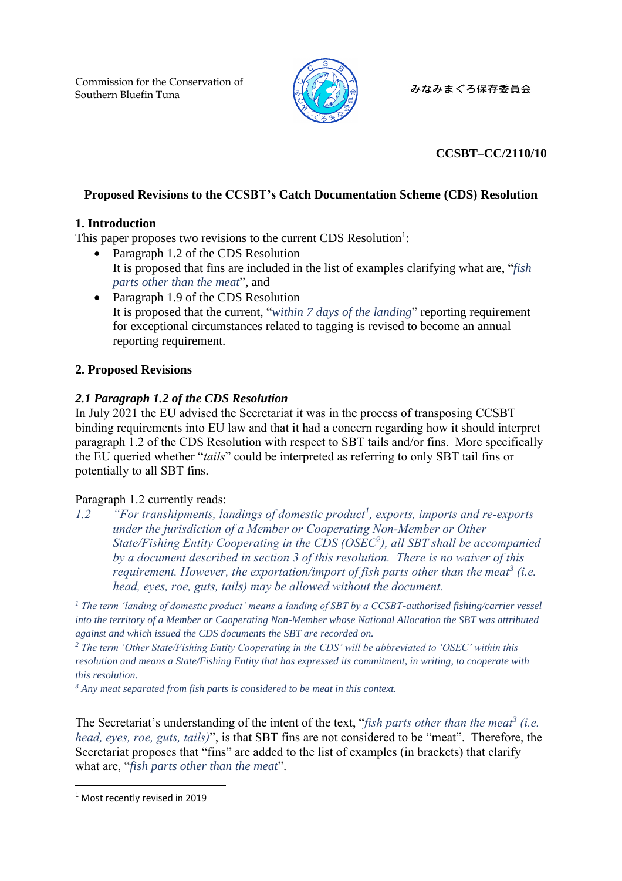Commission for the Conservation of Southern Bluefin Tuna



みなみまぐろ保存委員会

# **CCSBT–CC/2110/10**

# **Proposed Revisions to the CCSBT's Catch Documentation Scheme (CDS) Resolution**

## **1. Introduction**

This paper proposes two revisions to the current CDS Resolution<sup>1</sup>:

- Paragraph 1.2 of the CDS Resolution It is proposed that fins are included in the list of examples clarifying what are, "*fish parts other than the meat*", and
- Paragraph 1.9 of the CDS Resolution It is proposed that the current, "*within 7 days of the landing*" reporting requirement for exceptional circumstances related to tagging is revised to become an annual reporting requirement.

# **2. Proposed Revisions**

# *2.1 Paragraph 1.2 of the CDS Resolution*

In July 2021 the EU advised the Secretariat it was in the process of transposing CCSBT binding requirements into EU law and that it had a concern regarding how it should interpret paragraph 1.2 of the CDS Resolution with respect to SBT tails and/or fins. More specifically the EU queried whether "*tails*" could be interpreted as referring to only SBT tail fins or potentially to all SBT fins.

## Paragraph 1.2 currently reads:

*1.2 "For transhipments, landings of domestic product<sup>1</sup> , exports, imports and re-exports under the jurisdiction of a Member or Cooperating Non-Member or Other State/Fishing Entity Cooperating in the CDS (OSEC<sup>2</sup> ), all SBT shall be accompanied by a document described in section 3 of this resolution. There is no waiver of this requirement. However, the exportation/import of fish parts other than the meat<sup>3</sup> (i.e. head, eyes, roe, guts, tails) may be allowed without the document.*

*<sup>1</sup> The term 'landing of domestic product' means a landing of SBT by a CCSBT-authorised fishing/carrier vessel into the territory of a Member or Cooperating Non-Member whose National Allocation the SBT was attributed against and which issued the CDS documents the SBT are recorded on.*

*<sup>2</sup> The term 'Other State/Fishing Entity Cooperating in the CDS' will be abbreviated to 'OSEC' within this resolution and means a State/Fishing Entity that has expressed its commitment, in writing, to cooperate with this resolution.*

*<sup>3</sup> Any meat separated from fish parts is considered to be meat in this context.*

The Secretariat's understanding of the intent of the text, "*fish parts other than the meat<sup>3</sup> (i.e. head, eyes, roe, guts, tails)*", is that SBT fins are not considered to be "meat". Therefore, the Secretariat proposes that "fins" are added to the list of examples (in brackets) that clarify what are, "*fish parts other than the meat*".

<sup>&</sup>lt;sup>1</sup> Most recently revised in 2019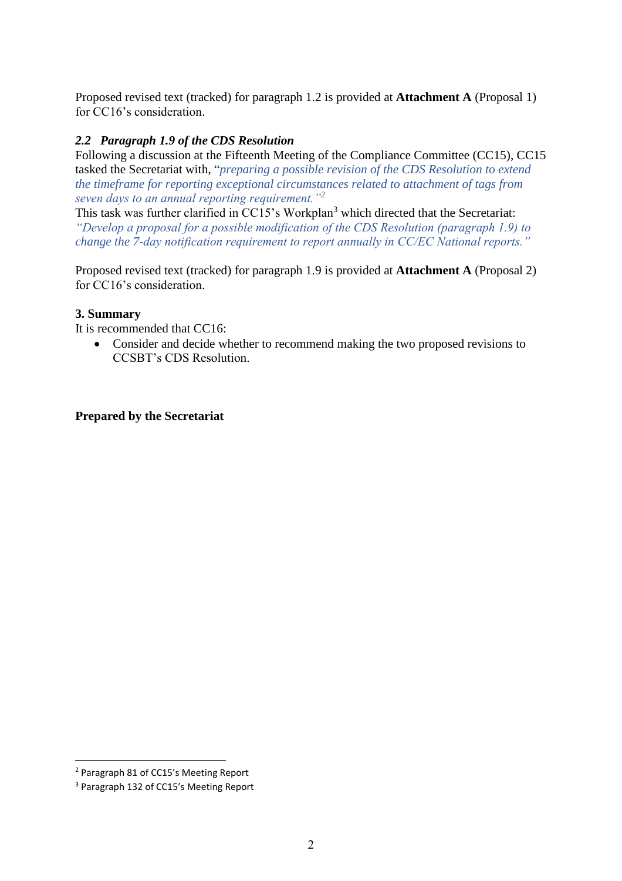Proposed revised text (tracked) for paragraph 1.2 is provided at **Attachment A** (Proposal 1) for CC16's consideration.

## *2.2 Paragraph 1.9 of the CDS Resolution*

Following a discussion at the Fifteenth Meeting of the Compliance Committee (CC15), CC15 tasked the Secretariat with, "*preparing a possible revision of the CDS Resolution to extend the timeframe for reporting exceptional circumstances related to attachment of tags from seven days to an annual reporting requirement."<sup>2</sup>*

This task was further clarified in CC15's Workplan<sup>3</sup> which directed that the Secretariat: *"Develop a proposal for a possible modification of the CDS Resolution (paragraph 1.9) to change the 7-day notification requirement to report annually in CC/EC National reports."*

Proposed revised text (tracked) for paragraph 1.9 is provided at **Attachment A** (Proposal 2) for CC16's consideration.

### **3. Summary**

It is recommended that CC16:

• Consider and decide whether to recommend making the two proposed revisions to CCSBT's CDS Resolution.

### **Prepared by the Secretariat**

<sup>2</sup> Paragraph 81 of CC15's Meeting Report

<sup>3</sup> Paragraph 132 of CC15's Meeting Report